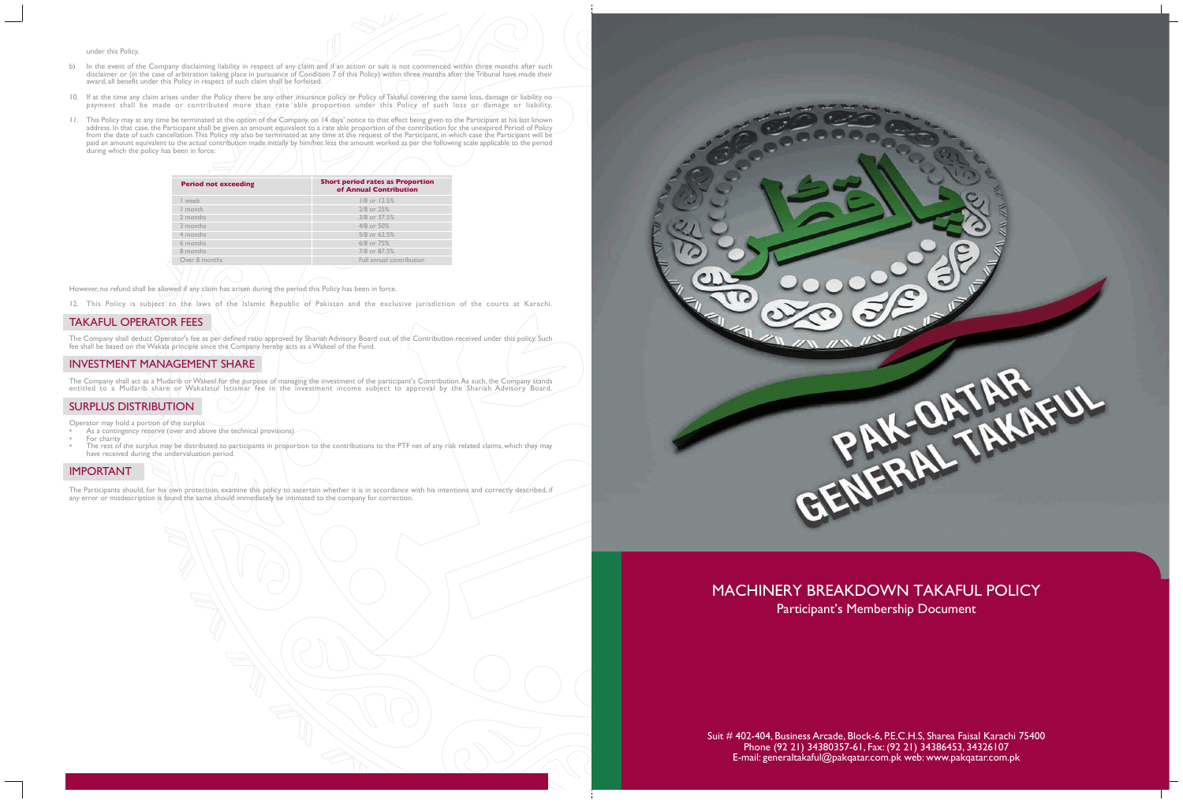under this Policy.

- b) In the event of the Company disclaiming liability in respect of any claim and if an action or suit is not commenced within three months after such disclaimer or (in the case of arbitration taking place in pursuance of Condition 7 of this Policy) within three months after the Tribunal have made their award, all benefit under this Policy in respect of such claim shall be forfeited.
- 10. If at the time any claim arises under the Policy there be any other insurance policy or Policy of Takaful covering the same loss, damage or liability no payment shall be made or contributed more than hate able proportion under this Policy of such loss or damage or liability.
- 11. This Policy may at any time be terminated at the option of the Company, on 14 days' notice to that effect being given to the Participant at his last known address. In that case, the Participant shall be given an amount equivalent to a rate able proportion of the contribution for the unexpired Period of Policy from the date of such cancellation. This Policy my also be terminated at any time at the request of the Participant, in which case the Participant will be paid an amount equivalent to the actual contribution made initially by him/her, less the amount worked as per the following scale applicable to the period during which the policy has been in force:

The Company shall act as a Mudarib or Wakeel for the purpose of managing the investment of the participant's Contribution. As such, the Company stands entitled to a Mudarib share or Wakalatul Istismar fee in the investment income subject to approval by the Shariah Advisory Board.

- As a contingency reserve (over and above the technical provisions)
- For charity • The rest of the surplus may be distributed to participants in proportion to the contributions to the PTF net of any risk related claims, which they may have received during the undervaluation period.

12. This Policy is subject to the laws of the Islamic Republic of Pakistan and the exclusive jurisdiction of the courts at Karachi.

# MACHINERY BREAKDOWN TAKAFUL POLICY Participant's Membership Document

## TAKAFUL OPERATOR FEES

The Company shall deduct Operator's fee as per defined ratio approved by Shariah Advisory Board out of the Contribution received under this policy. Such fee shall be based on the Wakala principle since the Company hereby acts as a Wakeel of the Fund.

## INVESTMENT MANAGEMENT SHARE

## SURPLUS DISTRIBUTION

Operator may hold a portion of the surplus

## IMPORTANT

The Participants should, for his own protection, examine this policy to ascertain whether it is in accordance with his intentions and correctly described, if any error or misdescription is found the same should immediately be intimated to the company for correction.



| <b>Period not exceeding</b> | <b>Short period rates as Proportion</b><br>of Annual Contribution |
|-----------------------------|-------------------------------------------------------------------|
| week                        | 1/8 or 12.5%                                                      |
| I month                     | 2/8 or 25%                                                        |
| 2 months                    | 3/8 or 37.5%                                                      |
| 3 months                    | 4/8 or 50%                                                        |
| 4 months                    | 5/8 or 62.5%                                                      |
| 6 months                    | 6/8 or 75%                                                        |
| 8 months                    | 7/8 or 87.5%                                                      |
| Over 8 months               | Full annual contribution                                          |
|                             |                                                                   |

However, no refund shall be allowed if any claim has arisen during the period this Policy has been in force.

Suit # 402-404, Business Arcade, Block-6, P.E.C.H.S, Sharea Faisal Karachi 75400 Phone (92 21) 34380357-61, Fax: (92 21) 34386453, 34326107 E-mail: generaltakaful@pakqatar.com.pk web: www.pakqatar.com.pk